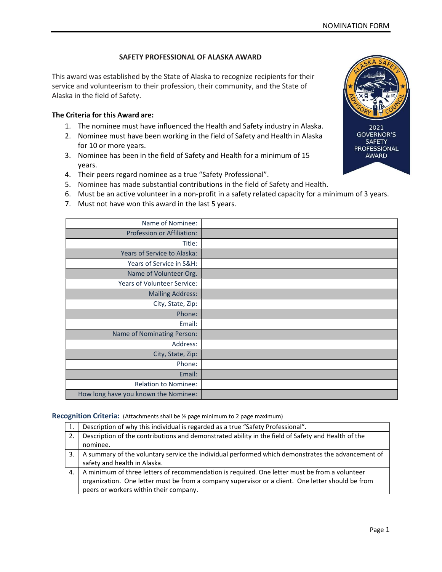## SAFETY PROFESSIONAL OF ALASKA AWARD

This award was established by the State of Alaska to recognize recipients for their service and volunteerism to their profession, their community, and the State of Alaska in the field of Safety.

## The Criteria for this Award are:

- 1. The nominee must have influenced the Health and Safety industry in Alaska.
- 2. Nominee must have been working in the field of Safety and Health in Alaska for 10 or more years.
- 3. Nominee has been in the field of Safety and Health for a minimum of 15 years.
- 4. Their peers regard nominee as a true "Safety Professional".
- 5. Nominee has made substantial contributions in the field of Safety and Health.
- 6. Must be an active volunteer in a non-profit in a safety related capacity for a minimum of 3 years.
- 7. Must not have won this award in the last 5 years.

| Name of Nominee:                     |  |
|--------------------------------------|--|
| Profession or Affiliation:           |  |
| Title:                               |  |
| Years of Service to Alaska:          |  |
| Years of Service in S&H:             |  |
| Name of Volunteer Org.               |  |
| Years of Volunteer Service:          |  |
| <b>Mailing Address:</b>              |  |
| City, State, Zip:                    |  |
| Phone:                               |  |
| Email:                               |  |
| Name of Nominating Person:           |  |
| Address:                             |  |
| City, State, Zip:                    |  |
| Phone:                               |  |
| Email:                               |  |
| <b>Relation to Nominee:</b>          |  |
| How long have you known the Nominee: |  |

## Recognition Criteria: (Attachments shall be ½ page minimum to 2 page maximum)

|    | Description of why this individual is regarded as a true "Safety Professional".                    |  |  |  |
|----|----------------------------------------------------------------------------------------------------|--|--|--|
| 2. | Description of the contributions and demonstrated ability in the field of Safety and Health of the |  |  |  |
|    | nominee.                                                                                           |  |  |  |
| 3. | A summary of the voluntary service the individual performed which demonstrates the advancement of  |  |  |  |
|    | safety and health in Alaska.                                                                       |  |  |  |
| 4. | A minimum of three letters of recommendation is required. One letter must be from a volunteer      |  |  |  |
|    | organization. One letter must be from a company supervisor or a client. One letter should be from  |  |  |  |
|    | peers or workers within their company.                                                             |  |  |  |



**PROFESSIONAL AWARD**